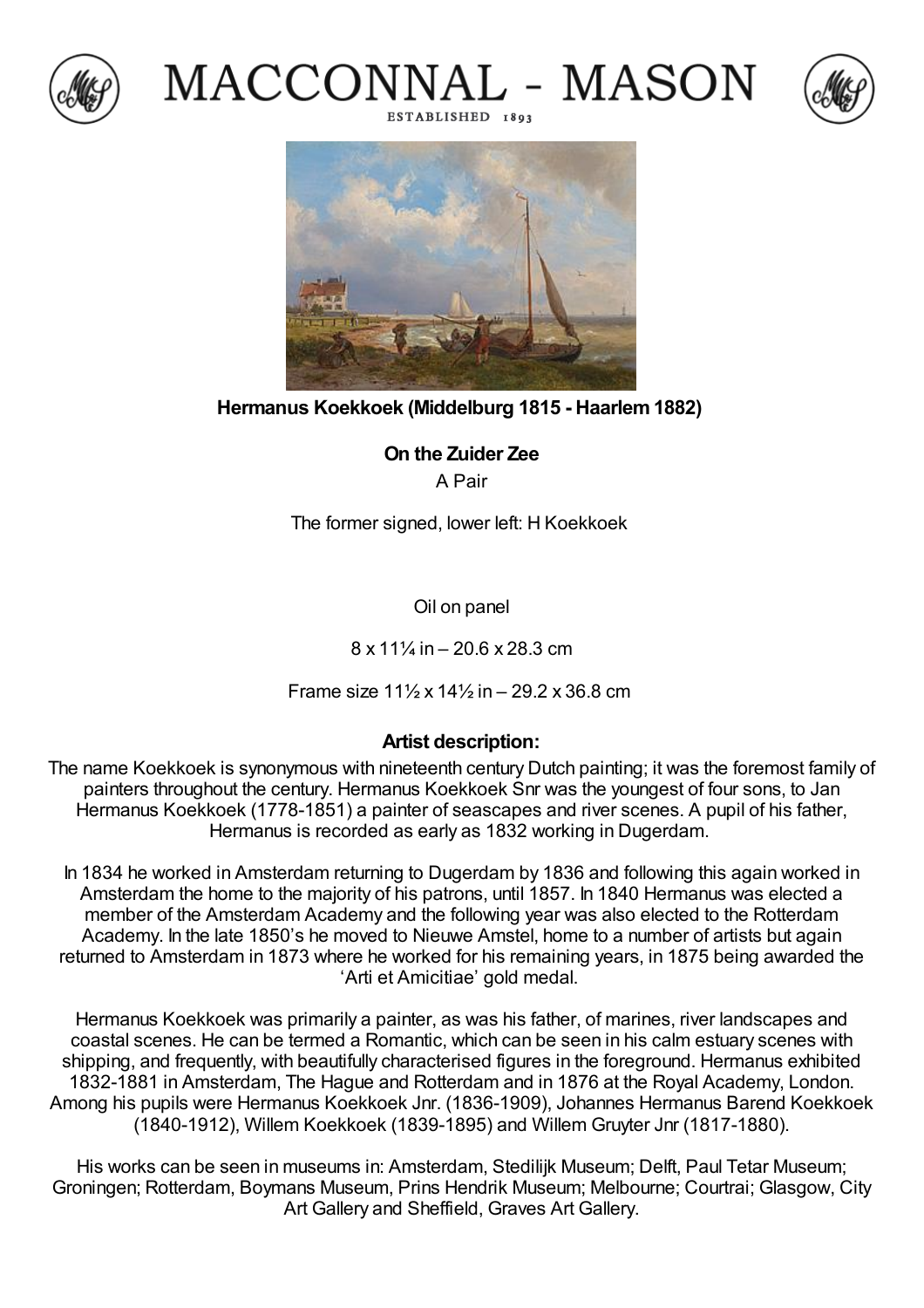







**Hermanus Koekkoek (Middelburg 1815 - Haarlem1882)**

**On the Zuider Zee** A Pair

The former signed, lower left: H Koekkoek

Oil on panel

 $8 \times 11\%$  in  $- 20.6 \times 28.3$  cm

Frame size 11½ x 14½ in – 29.2 x 36.8 cm

## **Artist description:**

The name Koekkoek is synonymous with nineteenth century Dutch painting; it was the foremost family of painters throughout the century. Hermanus Koekkoek Snr was the youngest of four sons, to Jan Hermanus Koekkoek (1778-1851) a painter of seascapes and river scenes. A pupil of his father, Hermanus is recorded as early as 1832 working in Dugerdam.

In 1834 he worked in Amsterdam returning to Dugerdam by 1836 and following this again worked in Amsterdam the home to the majority of his patrons, until 1857. In 1840 Hermanus was elected a member of the Amsterdam Academy and the following year was also elected to the Rotterdam Academy. In the late 1850's he moved to Nieuwe Amstel, home to a number of artists but again returned to Amsterdam in 1873 where he worked for his remaining years, in 1875 being awarded the 'Arti et Amicitiae' gold medal.

Hermanus Koekkoek was primarily a painter, as was his father, of marines, river landscapes and coastal scenes. He can be termed a Romantic, which can be seen in his calm estuary scenes with shipping, and frequently, with beautifully characterised figures in the foreground. Hermanus exhibited 1832-1881 in Amsterdam, The Hague and Rotterdam and in 1876 at the Royal Academy, London. Among his pupils were Hermanus Koekkoek Jnr. (1836-1909), Johannes Hermanus Barend Koekkoek (1840-1912), Willem Koekkoek (1839-1895) and Willem Gruyter Jnr (1817-1880).

His works can be seen in museums in: Amsterdam, Stedilijk Museum; Delft, Paul Tetar Museum; Groningen; Rotterdam, Boymans Museum, Prins Hendrik Museum; Melbourne; Courtrai; Glasgow, City Art Gallery and Sheffield, Graves Art Gallery.